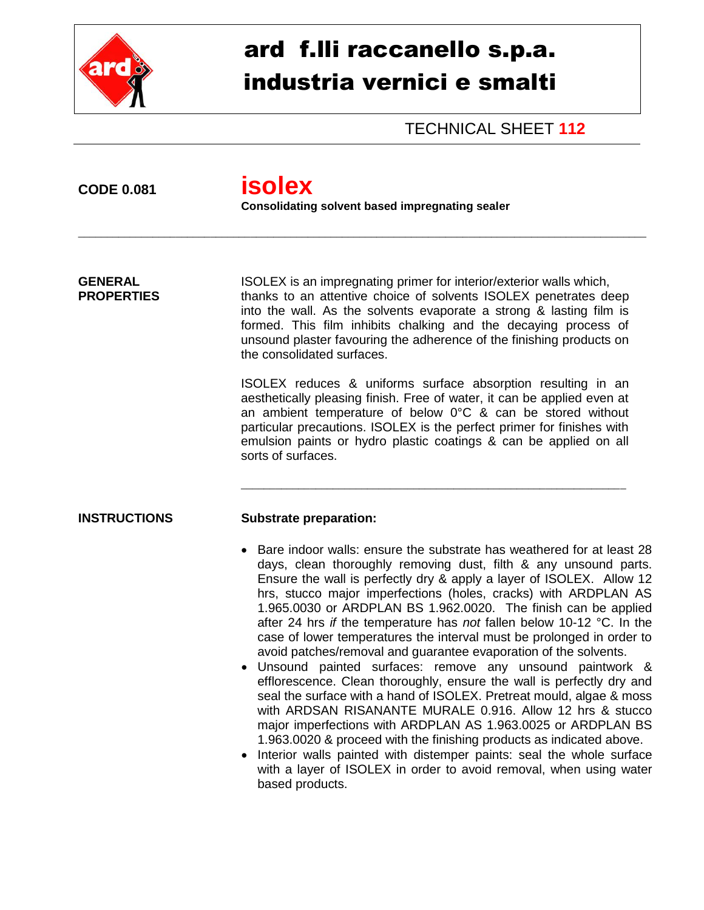

## ard f.lli raccanello s.p.a. industria vernici e smalti

TECHNICAL SHEET **112**

**CODE 0.081 isolex**

**Consolidating solvent based impregnating sealer**

\_\_\_\_\_\_\_\_\_\_\_\_\_\_\_\_\_\_\_\_\_\_\_\_\_\_\_\_\_\_\_\_\_\_\_\_\_\_\_\_\_\_\_\_\_\_\_\_\_\_\_\_\_\_\_\_\_\_\_\_\_\_\_\_\_\_\_\_\_\_\_\_\_\_\_\_\_\_\_\_\_\_\_\_\_\_\_\_\_\_\_\_\_\_\_\_\_\_\_

**GENERAL** ISOLEX is an impregnating primer for interior/exterior walls which, **PROPERTIES** thanks to an attentive choice of solvents ISOLEX penetrates deep into the wall. As the solvents evaporate a strong & lasting film is formed. This film inhibits chalking and the decaying process of unsound plaster favouring the adherence of the finishing products on the consolidated surfaces.

> ISOLEX reduces & uniforms surface absorption resulting in an aesthetically pleasing finish. Free of water, it can be applied even at an ambient temperature of below 0°C & can be stored without particular precautions. ISOLEX is the perfect primer for finishes with emulsion paints or hydro plastic coatings & can be applied on all sorts of surfaces.

\_\_\_\_\_\_\_\_\_\_\_\_\_\_\_\_\_\_\_\_\_\_\_\_\_\_\_\_\_\_\_\_\_\_\_\_\_\_\_\_\_\_\_\_\_\_\_\_\_\_\_\_\_\_\_\_\_\_\_\_\_\_\_\_\_\_\_

## **INSTRUCTIONS Substrate preparation:**

- Bare indoor walls: ensure the substrate has weathered for at least 28 days, clean thoroughly removing dust, filth & any unsound parts. Ensure the wall is perfectly dry & apply a layer of ISOLEX. Allow 12 hrs, stucco major imperfections (holes, cracks) with ARDPLAN AS 1.965.0030 or ARDPLAN BS 1.962.0020. The finish can be applied after 24 hrs *if* the temperature has *not* fallen below 10-12 °C. In the case of lower temperatures the interval must be prolonged in order to avoid patches/removal and guarantee evaporation of the solvents.
- Unsound painted surfaces: remove any unsound paintwork & efflorescence. Clean thoroughly, ensure the wall is perfectly dry and seal the surface with a hand of ISOLEX. Pretreat mould, algae & moss with ARDSAN RISANANTE MURALE 0.916. Allow 12 hrs & stucco major imperfections with ARDPLAN AS 1.963.0025 or ARDPLAN BS 1.963.0020 & proceed with the finishing products as indicated above.
- Interior walls painted with distemper paints: seal the whole surface with a layer of ISOLEX in order to avoid removal, when using water based products.